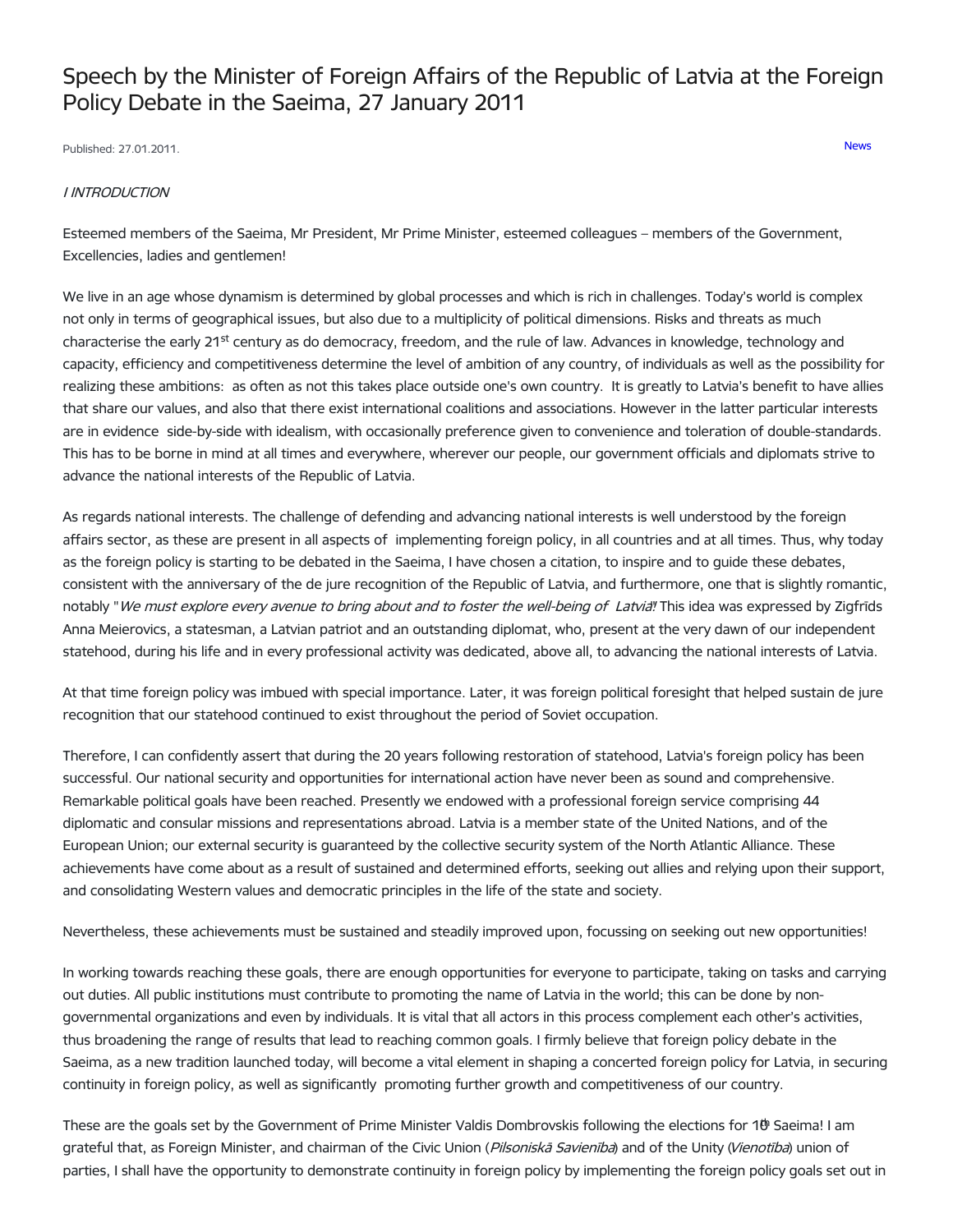# Speech by the Minister of Foreign Affairs of the Republic of Latvia at the Foreign Policy Debate in the Saeima, 27 January 2011

Published: 27.01.2011. [News](https://www.mfa.gov.lv/en/articles?category%255B253%255D=253)

#### I INTRODUCTION

Esteemed members of the Saeima, Mr President, Mr Prime Minister, esteemed colleagues – members of the Government, Excellencies, ladies and gentlemen!

We live in an age whose dynamism is determined by global processes and which is rich in challenges. Today's world is complex not only in terms of geographical issues, but also due to a multiplicity of political dimensions. Risks and threats as much characterise the early 21<sup>st</sup> century as do democracy, freedom, and the rule of law. Advances in knowledge, technology and capacity, efficiency and competitiveness determine the level of ambition of any country, of individuals as well as the possibility for realizing these ambitions: as often as not this takes place outside one's own country. It is greatly to Latvia's benefit to have allies that share our values, and also that there exist international coalitions and associations. However in the latter particular interests are in evidence side-by-side with idealism, with occasionally preference given to convenience and toleration of double-standards. This has to be borne in mind at all times and everywhere, wherever our people, our government officials and diplomats strive to advance the national interests of the Republic of Latvia.

As regards national interests. The challenge of defending and advancing national interests is well understood by the foreign affairs sector, as these are present in all aspects of implementing foreign policy, in all countries and at all times. Thus, why today as the foreign policy is starting to be debated in the Saeima, I have chosen a citation, to inspire and to guide these debates, consistent with the anniversary of the de jure recognition of the Republic of Latvia, and furthermore, one that is slightly romantic, notably "We must explore every avenue to bring about and to foster the well-being of Latvia! This idea was expressed by Zigfrīds Anna Meierovics, a statesman, a Latvian patriot and an outstanding diplomat, who, present at the very dawn of our independent statehood, during his life and in every professional activity was dedicated, above all, to advancing the national interests of Latvia.

At that time foreign policy was imbued with special importance. Later, it was foreign political foresight that helped sustain de jure recognition that our statehood continued to exist throughout the period of Soviet occupation.

Therefore, I can confidently assert that during the 20 years following restoration of statehood, Latvia's foreign policy has been successful. Our national security and opportunities for international action have never been as sound and comprehensive. Remarkable political goals have been reached. Presently we endowed with a professional foreign service comprising 44 diplomatic and consular missions and representations abroad. Latvia is a member state of the United Nations, and of the European Union; our external security is guaranteed by the collective security system of the North Atlantic Alliance. These achievements have come about as a result of sustained and determined efforts, seeking out allies and relying upon their support, and consolidating Western values and democratic principles in the life of the state and society.

Nevertheless, these achievements must be sustained and steadily improved upon, focussing on seeking out new opportunities!

In working towards reaching these goals, there are enough opportunities for everyone to participate, taking on tasks and carrying out duties. All public institutions must contribute to promoting the name of Latvia in the world; this can be done by nongovernmental organizations and even by individuals. It is vital that all actors in this process complement each other's activities, thus broadening the range of results that lead to reaching common goals. I firmly believe that foreign policy debate in the Saeima, as a new tradition launched today, will become a vital element in shaping a concerted foreign policy for Latvia, in securing continuity in foreign policy, as well as significantly promoting further growth and competitiveness of our country.

These are the goals set by the Government of Prime Minister Valdis Dombrovskis following the elections for 1ט Saeima! I am grateful that, as Foreign Minister, and chairman of the Civic Union (Pilsoniskā Savienība) and of the Unity (Vienotība) union of parties, I shall have the opportunity to demonstrate continuity in foreign policy by implementing the foreign policy goals set out in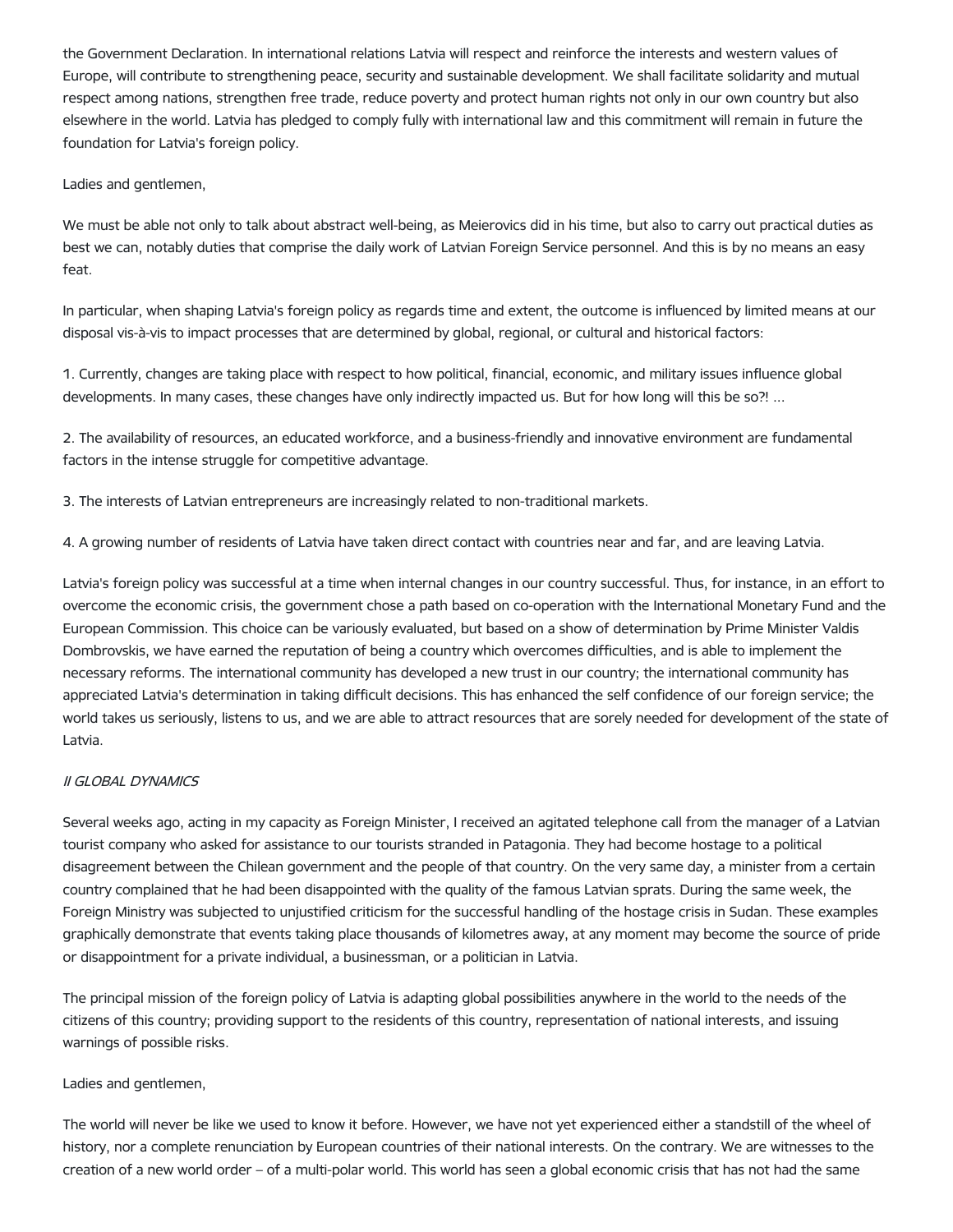the Government Declaration. In international relations Latvia will respect and reinforce the interests and western values of Europe, will contribute to strengthening peace, security and sustainable development. We shall facilitate solidarity and mutual respect among nations, strengthen free trade, reduce poverty and protect human rights not only in our own country but also elsewhere in the world. Latvia has pledged to comply fully with international law and this commitment will remain in future the foundation for Latvia's foreign policy.

Ladies and gentlemen,

We must be able not only to talk about abstract well-being, as Meierovics did in his time, but also to carry out practical duties as best we can, notably duties that comprise the daily work of Latvian Foreign Service personnel. And this is by no means an easy feat.

In particular, when shaping Latvia's foreign policy as regards time and extent, the outcome is influenced by limited means at our disposal vis-à-vis to impact processes that are determined by global, regional, or cultural and historical factors:

1. Currently, changes are taking place with respect to how political, financial, economic, and military issues influence global developments. In many cases, these changes have only indirectly impacted us. But for how long will this be so?! ...

2. The availability of resources, an educated workforce, and a business-friendly and innovative environment are fundamental factors in the intense struggle for competitive advantage.

3. The interests of Latvian entrepreneurs are increasingly related to non-traditional markets.

4. A growing number of residents of Latvia have taken direct contact with countries near and far, and are leaving Latvia.

Latvia's foreign policy was successful at a time when internal changes in our country successful. Thus, for instance, in an effort to overcome the economic crisis, the government chose a path based on co-operation with the International Monetary Fund and the European Commission. This choice can be variously evaluated, but based on a show of determination by Prime Minister Valdis Dombrovskis, we have earned the reputation of being a country which overcomes difficulties, and is able to implement the necessary reforms. The international community has developed a new trust in our country; the international community has appreciated Latvia's determination in taking difficult decisions. This has enhanced the self confidence of our foreign service; the world takes us seriously, listens to us, and we are able to attract resources that are sorely needed for development of the state of Latvia.

# II GLOBAL DYNAMICS

Several weeks ago, acting in my capacity as Foreign Minister, I received an agitated telephone call from the manager of a Latvian tourist company who asked for assistance to our tourists stranded in Patagonia. They had become hostage to a political disagreement between the Chilean government and the people of that country. On the very same day, a minister from a certain country complained that he had been disappointed with the quality of the famous Latvian sprats. During the same week, the Foreign Ministry was subjected to unjustified criticism for the successful handling of the hostage crisis in Sudan. These examples graphically demonstrate that events taking place thousands of kilometres away, at any moment may become the source of pride or disappointment for a private individual, a businessman, or a politician in Latvia.

The principal mission of the foreign policy of Latvia is adapting global possibilities anywhere in the world to the needs of the citizens of this country; providing support to the residents of this country, representation of national interests, and issuing warnings of possible risks.

### Ladies and gentlemen,

The world will never be like we used to know it before. However, we have not yet experienced either a standstill of the wheel of history, nor a complete renunciation by European countries of their national interests. On the contrary. We are witnesses to the creation of a new world order – of a multi-polar world. This world has seen a global economic crisis that has not had the same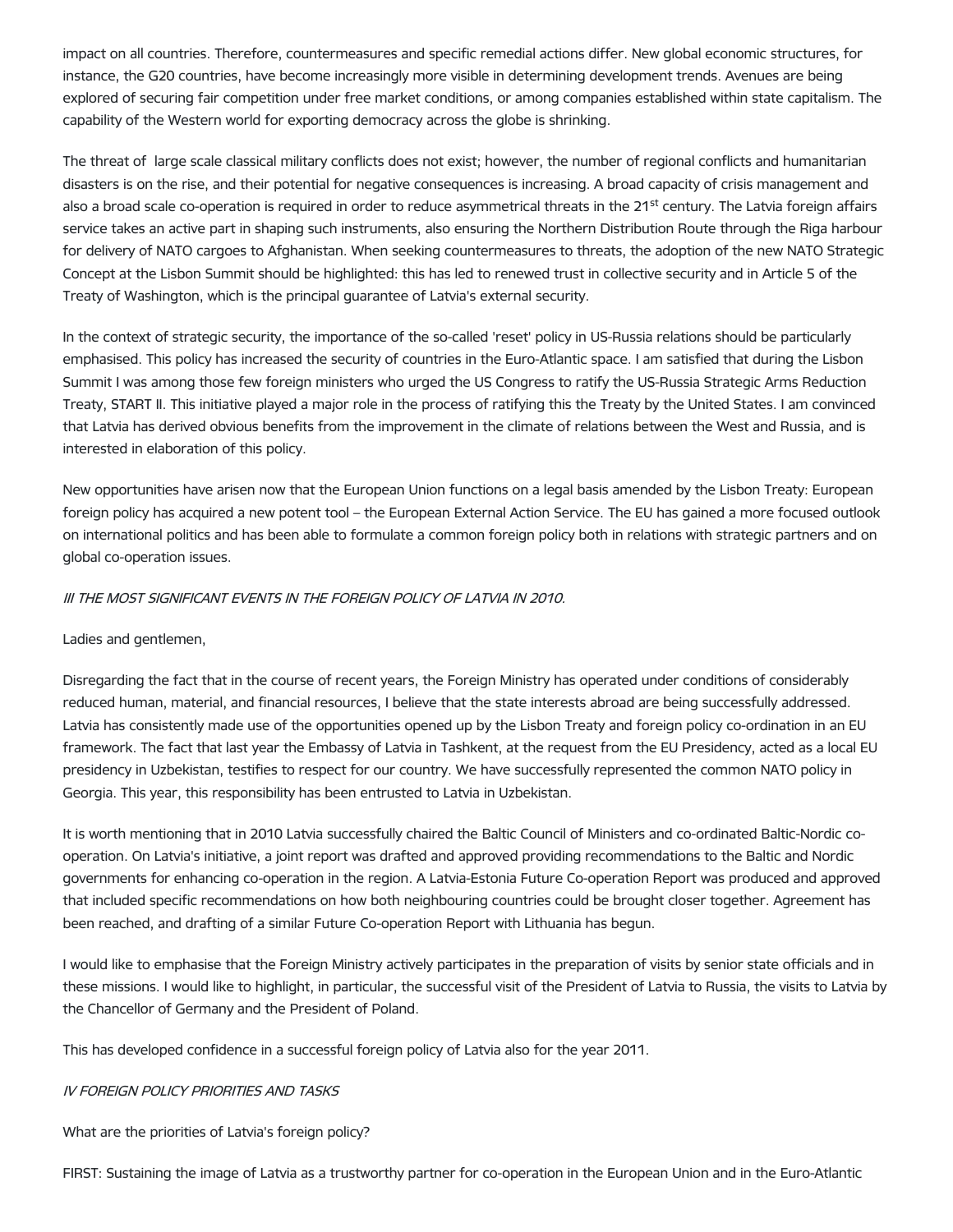impact on all countries. Therefore, countermeasures and specific remedial actions differ. New global economic structures, for instance, the G20 countries, have become increasingly more visible in determining development trends. Avenues are being explored of securing fair competition under free market conditions, or among companies established within state capitalism. The capability of the Western world for exporting democracy across the globe is shrinking.

The threat of large scale classical military conflicts does not exist; however, the number of regional conflicts and humanitarian disasters is on the rise, and their potential for negative consequences is increasing. A broad capacity of crisis management and also a broad scale co-operation is required in order to reduce asymmetrical threats in the 21<sup>st</sup> century. The Latvia foreign affairs service takes an active part in shaping such instruments, also ensuring the Northern Distribution Route through the Riga harbour for delivery of NATO cargoes to Afghanistan. When seeking countermeasures to threats, the adoption of the new NATO Strategic Concept at the Lisbon Summit should be highlighted: this has led to renewed trust in collective security and in Article 5 of the Treaty of Washington, which is the principal guarantee of Latvia's external security.

In the context of strategic security, the importance of the so-called 'reset' policy in US-Russia relations should be particularly emphasised. This policy has increased the security of countries in the Euro-Atlantic space. I am satisfied that during the Lisbon Summit I was among those few foreign ministers who urged the US Congress to ratify the US-Russia Strategic Arms Reduction Treaty, START II. This initiative played a major role in the process of ratifying this the Treaty by the United States. I am convinced that Latvia has derived obvious benefits from the improvement in the climate of relations between the West and Russia, and is interested in elaboration of this policy.

New opportunities have arisen now that the European Union functions on a legal basis amended by the Lisbon Treaty: European foreign policy has acquired a new potent tool – the European External Action Service. The EU has gained a more focused outlook on international politics and has been able to formulate a common foreign policy both in relations with strategic partners and on global co-operation issues.

# III THE MOST SIGNIFICANT EVENTS IN THE FOREIGN POLICY OF LATVIA IN 2010.

# Ladies and gentlemen,

Disregarding the fact that in the course of recent years, the Foreign Ministry has operated under conditions of considerably reduced human, material, and financial resources, I believe that the state interests abroad are being successfully addressed. Latvia has consistently made use of the opportunities opened up by the Lisbon Treaty and foreign policy co-ordination in an EU framework. The fact that last year the Embassy of Latvia in Tashkent, at the request from the EU Presidency, acted as a local EU presidency in Uzbekistan, testifies to respect for our country. We have successfully represented the common NATO policy in Georgia. This year, this responsibility has been entrusted to Latvia in Uzbekistan.

It is worth mentioning that in 2010 Latvia successfully chaired the Baltic Council of Ministers and co-ordinated Baltic-Nordic cooperation. On Latvia's initiative, a joint report was drafted and approved providing recommendations to the Baltic and Nordic governments for enhancing co-operation in the region. A Latvia-Estonia Future Co-operation Report was produced and approved that included specific recommendations on how both neighbouring countries could be brought closer together. Agreement has been reached, and drafting of a similar Future Co-operation Report with Lithuania has begun.

I would like to emphasise that the Foreign Ministry actively participates in the preparation of visits by senior state officials and in these missions. I would like to highlight, in particular, the successful visit of the President of Latvia to Russia, the visits to Latvia by the Chancellor of Germany and the President of Poland.

This has developed confidence in a successful foreign policy of Latvia also for the year 2011.

### IV FOREIGN POLICY PRIORITIES AND TASKS

What are the priorities of Latvia's foreign policy?

FIRST: Sustaining the image of Latvia as a trustworthy partner for co-operation in the European Union and in the Euro-Atlantic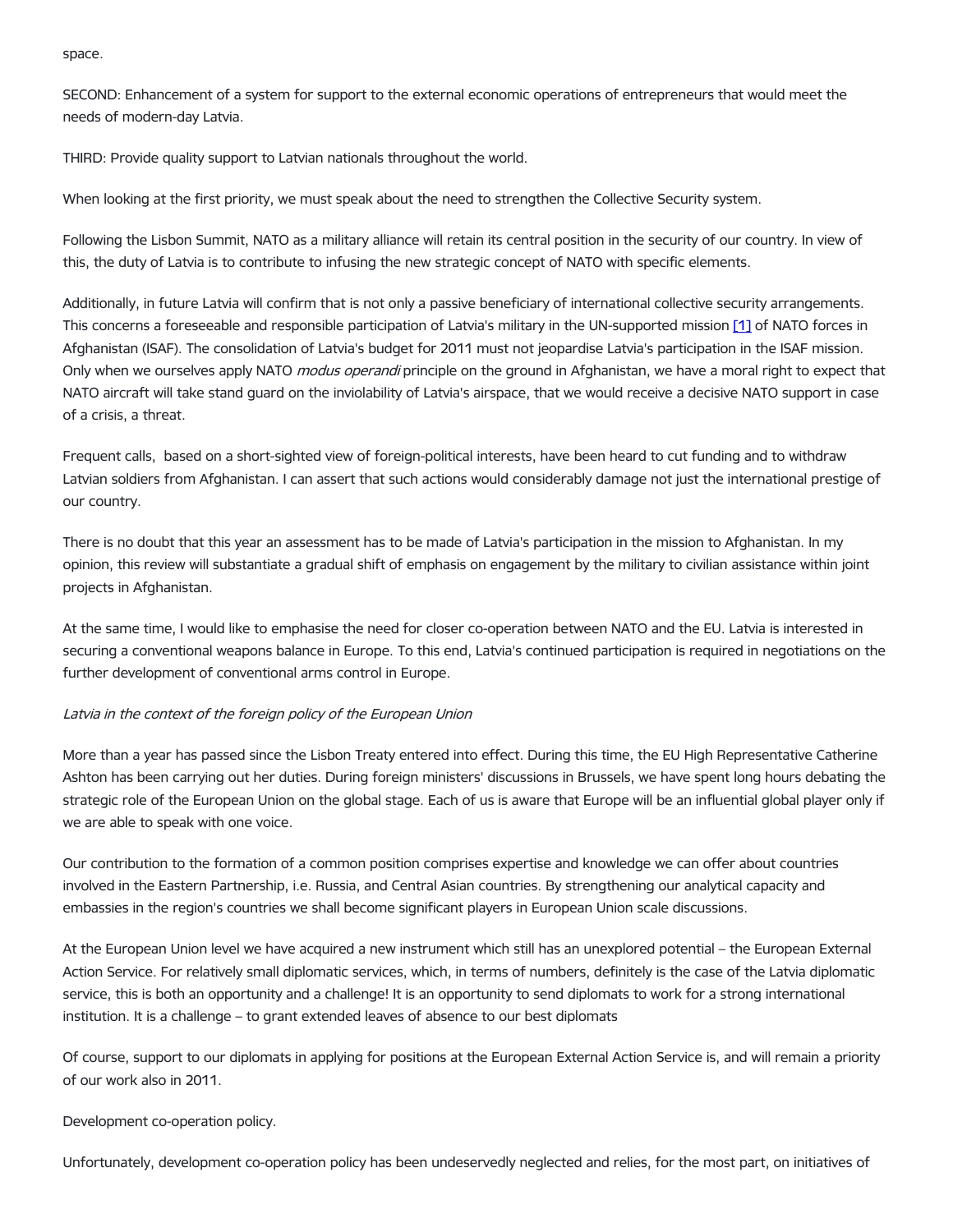space.

SECOND: Enhancement of a system for support to the external economic operations of entrepreneurs that would meet the needs of modern-day Latvia.

THIRD: Provide quality support to Latvian nationals throughout the world.

When looking at the first priority, we must speak about the need to strengthen the Collective Security system.

Following the Lisbon Summit, NATO as a military alliance will retain its central position in the security of our country. In view of this, the duty of Latvia is to contribute to infusing the new strategic concept of NATO with specific elements.

Additionally, in future Latvia will confirm that is not only a passive beneficiary of international collective security arrangements. This concerns a foreseeable and responsible participation of Latvia's military in the UN-supported mission [\[1\]](#page-7-0) of NATO forces in Afghanistan (ISAF). The consolidation of Latvia's budget for 2011 must not jeopardise Latvia's participation in the ISAF mission. Only when we ourselves apply NATO *modus operandi* principle on the ground in Afghanistan, we have a moral right to expect that NATO aircraft will take stand guard on the inviolability of Latvia's airspace, that we would receive a decisive NATO support in case of a crisis, a threat.

Frequent calls, based on a short-sighted view of foreign-political interests, have been heard to cut funding and to withdraw Latvian soldiers from Afghanistan. I can assert that such actions would considerably damage not just the international prestige of our country.

There is no doubt that this year an assessment has to be made of Latvia's participation in the mission to Afghanistan. In my opinion, this review will substantiate a gradual shift of emphasis on engagement by the military to civilian assistance within joint projects in Afghanistan.

At the same time, I would like to emphasise the need for closer co-operation between NATO and the EU. Latvia is interested in securing a conventional weapons balance in Europe. To this end, Latvia's continued participation is required in negotiations on the further development of conventional arms control in Europe.

# Latvia in the context of the foreign policy of the European Union

More than a year has passed since the Lisbon Treaty entered into effect. During this time, the EU High Representative Catherine Ashton has been carrying out her duties. During foreign ministers' discussions in Brussels, we have spent long hours debating the strategic role of the European Union on the global stage. Each of us is aware that Europe will be an influential global player only if we are able to speak with one voice.

Our contribution to the formation of a common position comprises expertise and knowledge we can offer about countries involved in the Eastern Partnership, i.e. Russia, and Central Asian countries. By strengthening our analytical capacity and embassies in the region's countries we shall become significant players in European Union scale discussions.

At the European Union level we have acquired a new instrument which still has an unexplored potential – the European External Action Service. For relatively small diplomatic services, which, in terms of numbers, definitely is the case of the Latvia diplomatic service, this is both an opportunity and a challenge! It is an opportunity to send diplomats to work for a strong international institution. It is a challenge – to grant extended leaves of absence to our best diplomats

Of course, support to our diplomats in applying for positions at the European External Action Service is, and will remain a priority of our work also in 2011.

## Development co-operation policy.

Unfortunately, development co-operation policy has been undeservedly neglected and relies, for the most part, on initiatives of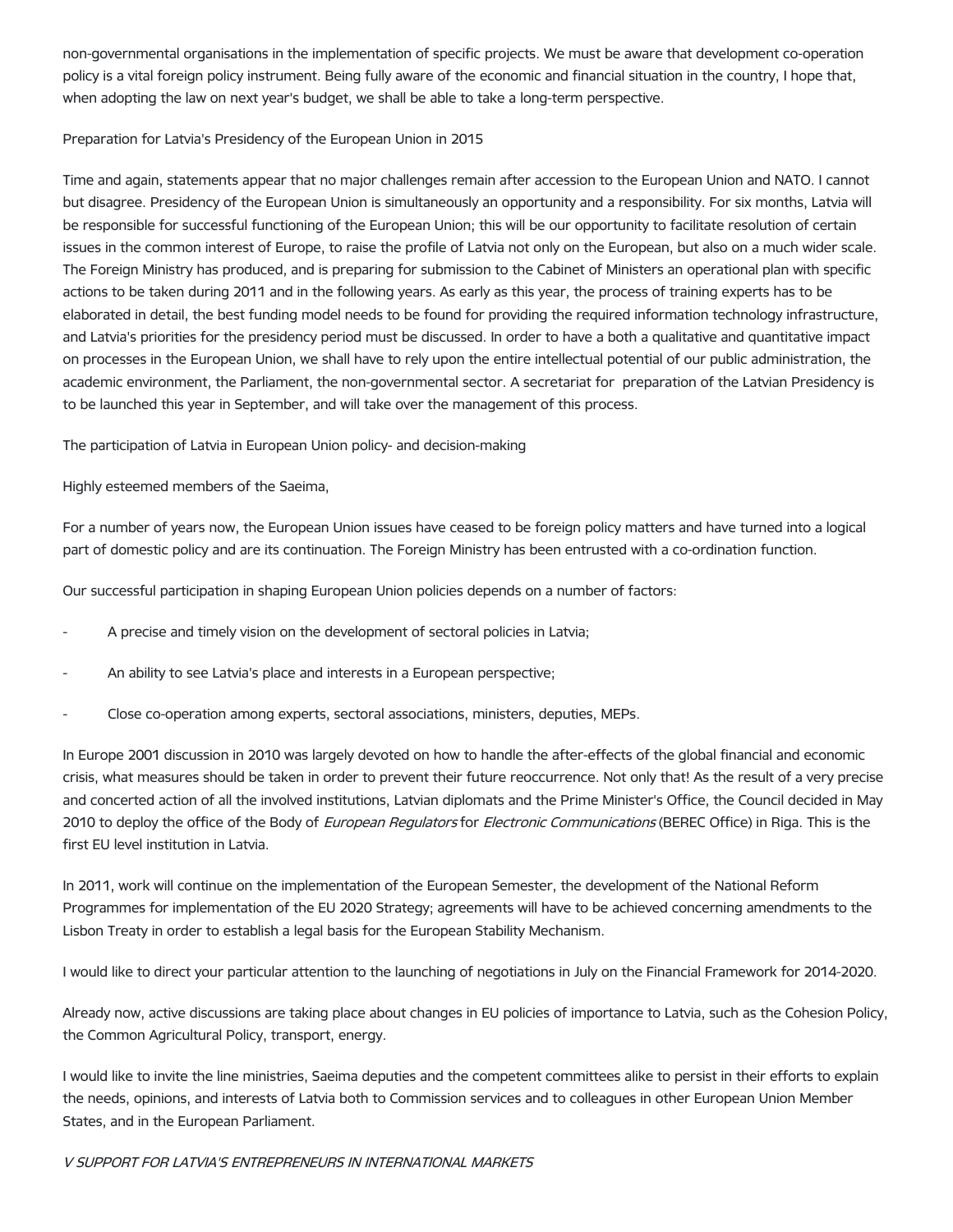non-governmental organisations in the implementation of specific projects. We must be aware that development co-operation policy is a vital foreign policy instrument. Being fully aware of the economic and financial situation in the country, I hope that, when adopting the law on next year's budget, we shall be able to take a long-term perspective.

## Preparation for Latvia's Presidency of the European Union in 2015

Time and again, statements appear that no major challenges remain after accession to the European Union and NATO. I cannot but disagree. Presidency of the European Union is simultaneously an opportunity and a responsibility. For six months, Latvia will be responsible for successful functioning of the European Union; this will be our opportunity to facilitate resolution of certain issues in the common interest of Europe, to raise the profile of Latvia not only on the European, but also on a much wider scale. The Foreign Ministry has produced, and is preparing for submission to the Cabinet of Ministers an operational plan with specific actions to be taken during 2011 and in the following years. As early as this year, the process of training experts has to be elaborated in detail, the best funding model needs to be found for providing the required information technology infrastructure, and Latvia's priorities for the presidency period must be discussed. In order to have a both a qualitative and quantitative impact on processes in the European Union, we shall have to rely upon the entire intellectual potential of our public administration, the academic environment, the Parliament, the non-governmental sector. A secretariat for preparation of the Latvian Presidency is to be launched this year in September, and will take over the management of this process.

The participation of Latvia in European Union policy- and decision-making

Highly esteemed members of the Saeima,

For a number of years now, the European Union issues have ceased to be foreign policy matters and have turned into a logical part of domestic policy and are its continuation. The Foreign Ministry has been entrusted with a co-ordination function.

Our successful participation in shaping European Union policies depends on a number of factors:

- A precise and timely vision on the development of sectoral policies in Latvia;
- An ability to see Latvia's place and interests in a European perspective;
- Close co-operation among experts, sectoral associations, ministers, deputies, MEPs.

In Europe 2001 discussion in 2010 was largely devoted on how to handle the after-effects of the global financial and economic crisis, what measures should be taken in order to prevent their future reoccurrence. Not only that! As the result of a very precise and concerted action of all the involved institutions, Latvian diplomats and the Prime Minister's Office, the Council decided in May 2010 to deploy the office of the Body of European Regulators for Electronic Communications (BEREC Office) in Riga. This is the first EU level institution in Latvia.

In 2011, work will continue on the implementation of the European Semester, the development of the National Reform Programmes for implementation of the EU 2020 Strategy; agreements will have to be achieved concerning amendments to the Lisbon Treaty in order to establish a legal basis for the European Stability Mechanism.

I would like to direct your particular attention to the launching of negotiations in July on the Financial Framework for 2014-2020.

Already now, active discussions are taking place about changes in EU policies of importance to Latvia, such as the Cohesion Policy, the Common Agricultural Policy, transport, energy.

I would like to invite the line ministries, Saeima deputies and the competent committees alike to persist in their efforts to explain the needs, opinions, and interests of Latvia both to Commission services and to colleagues in other European Union Member States, and in the European Parliament.

# V SUPPORT FOR LATVIA'S ENTREPRENEURS IN INTERNATIONAL MARKETS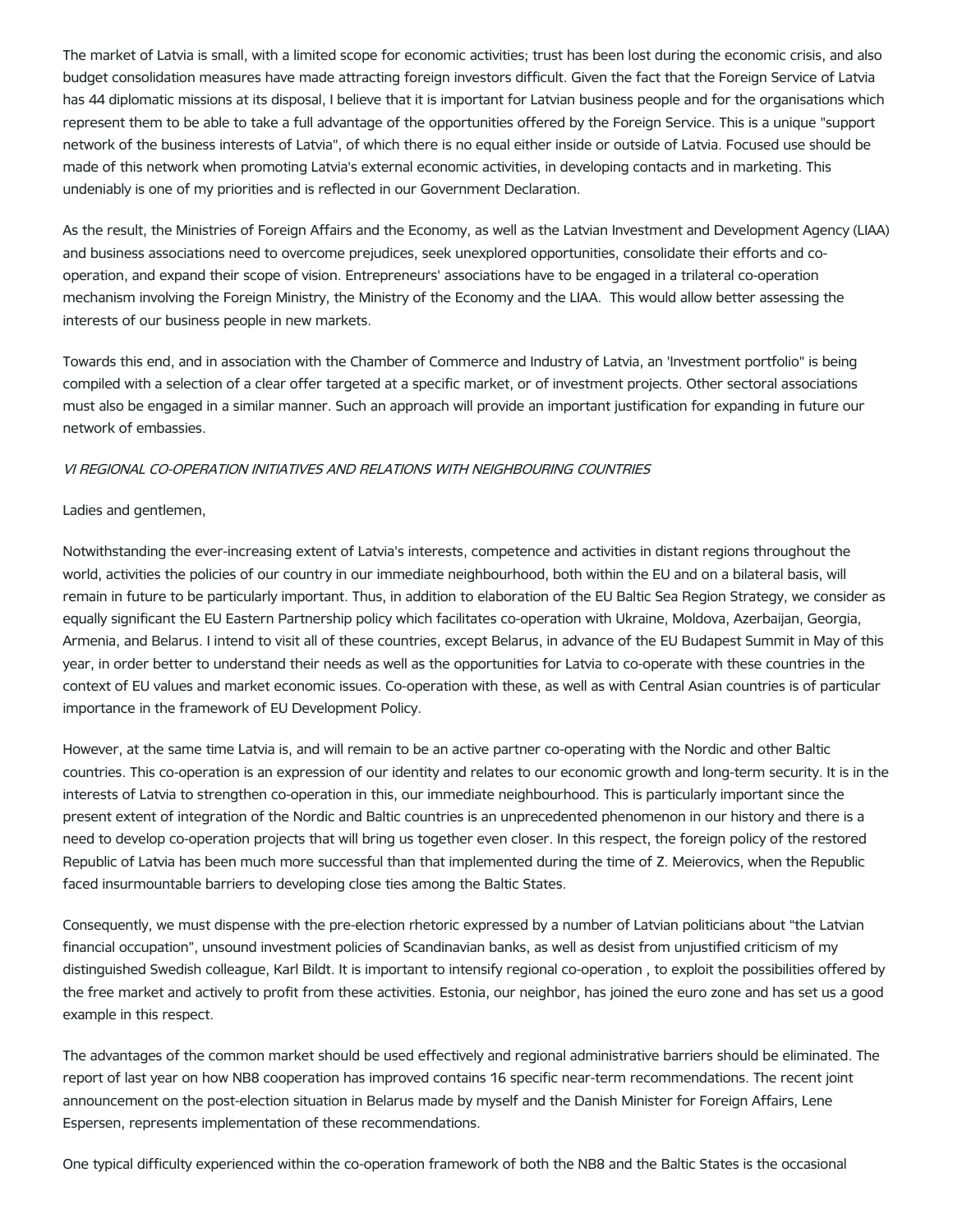The market of Latvia is small, with a limited scope for economic activities; trust has been lost during the economic crisis, and also budget consolidation measures have made attracting foreign investors difficult. Given the fact that the Foreign Service of Latvia has 44 diplomatic missions at its disposal, I believe that it is important for Latvian business people and for the organisations which represent them to be able to take a full advantage of the opportunities offered by the Foreign Service. This is a unique "support network of the business interests of Latvia", of which there is no equal either inside or outside of Latvia. Focused use should be made of this network when promoting Latvia's external economic activities, in developing contacts and in marketing. This undeniably is one of my priorities and is reflected in our Government Declaration.

As the result, the Ministries of Foreign Affairs and the Economy, as well as the Latvian Investment and Development Agency (LIAA) and business associations need to overcome prejudices, seek unexplored opportunities, consolidate their efforts and cooperation, and expand their scope of vision. Entrepreneurs' associations have to be engaged in a trilateral co-operation mechanism involving the Foreign Ministry, the Ministry of the Economy and the LIAA. This would allow better assessing the interests of our business people in new markets.

Towards this end, and in association with the Chamber of Commerce and Industry of Latvia, an 'Investment portfolio" is being compiled with a selection of a clear offer targeted at a specific market, or of investment projects. Other sectoral associations must also be engaged in a similar manner. Such an approach will provide an important justification for expanding in future our network of embassies.

# VI REGIONAL CO-OPERATION INITIATIVES AND RELATIONS WITH NEIGHBOURING COUNTRIES

## Ladies and gentlemen,

Notwithstanding the ever-increasing extent of Latvia's interests, competence and activities in distant regions throughout the world, activities the policies of our country in our immediate neighbourhood, both within the EU and on a bilateral basis, will remain in future to be particularly important. Thus, in addition to elaboration of the EU Baltic Sea Region Strategy, we consider as equally significant the EU Eastern Partnership policy which facilitates co-operation with Ukraine, Moldova, Azerbaijan, Georgia, Armenia, and Belarus. I intend to visit all of these countries, except Belarus, in advance of the EU Budapest Summit in May of this year, in order better to understand their needs as well as the opportunities for Latvia to co-operate with these countries in the context of EU values and market economic issues. Co-operation with these, as well as with Central Asian countries is of particular importance in the framework of EU Development Policy.

However, at the same time Latvia is, and will remain to be an active partner co-operating with the Nordic and other Baltic countries. This co-operation is an expression of our identity and relates to our economic growth and long-term security. It is in the interests of Latvia to strengthen co-operation in this, our immediate neighbourhood. This is particularly important since the present extent of integration of the Nordic and Baltic countries is an unprecedented phenomenon in our history and there is a need to develop co-operation projects that will bring us together even closer. In this respect, the foreign policy of the restored Republic of Latvia has been much more successful than that implemented during the time of Z. Meierovics, when the Republic faced insurmountable barriers to developing close ties among the Baltic States.

Consequently, we must dispense with the pre-election rhetoric expressed by a number of Latvian politicians about "the Latvian financial occupation", unsound investment policies of Scandinavian banks, as well as desist from unjustified criticism of my distinguished Swedish colleague, Karl Bildt. It is important to intensify regional co-operation , to exploit the possibilities offered by the free market and actively to profit from these activities. Estonia, our neighbor, has joined the euro zone and has set us a good example in this respect.

The advantages of the common market should be used effectively and regional administrative barriers should be eliminated. The report of last year on how NB8 cooperation has improved contains 16 specific near-term recommendations. The recent joint announcement on the post-election situation in Belarus made by myself and the Danish Minister for Foreign Affairs, Lene Espersen, represents implementation of these recommendations.

One typical difficulty experienced within the co-operation framework of both the NB8 and the Baltic States is the occasional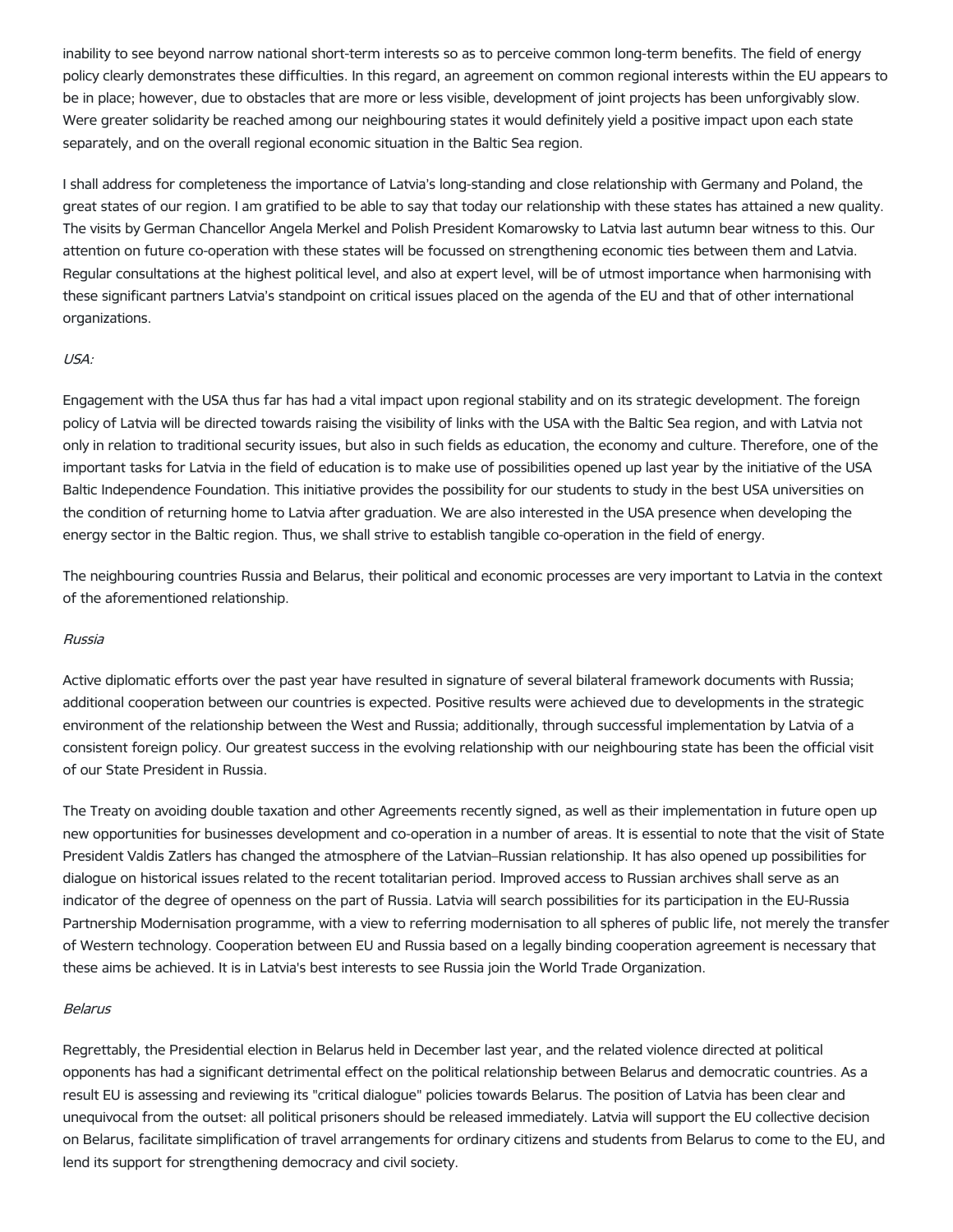inability to see beyond narrow national short-term interests so as to perceive common long-term benefits. The field of energy policy clearly demonstrates these difficulties. In this regard, an agreement on common regional interests within the EU appears to be in place; however, due to obstacles that are more or less visible, development of joint projects has been unforgivably slow. Were greater solidarity be reached among our neighbouring states it would definitely yield a positive impact upon each state separately, and on the overall regional economic situation in the Baltic Sea region.

I shall address for completeness the importance of Latvia's long-standing and close relationship with Germany and Poland, the great states of our region. I am gratified to be able to say that today our relationship with these states has attained a new quality. The visits by German Chancellor Angela Merkel and Polish President Komarowsky to Latvia last autumn bear witness to this. Our attention on future co-operation with these states will be focussed on strengthening economic ties between them and Latvia. Regular consultations at the highest political level, and also at expert level, will be of utmost importance when harmonising with these significant partners Latvia's standpoint on critical issues placed on the agenda of the EU and that of other international organizations.

## USA:

Engagement with the USA thus far has had a vital impact upon regional stability and on its strategic development. The foreign policy of Latvia will be directed towards raising the visibility of links with the USA with the Baltic Sea region, and with Latvia not only in relation to traditional security issues, but also in such fields as education, the economy and culture. Therefore, one of the important tasks for Latvia in the field of education is to make use of possibilities opened up last year by the initiative of the USA Baltic Independence Foundation. This initiative provides the possibility for our students to study in the best USA universities on the condition of returning home to Latvia after graduation. We are also interested in the USA presence when developing the energy sector in the Baltic region. Thus, we shall strive to establish tangible co-operation in the field of energy.

The neighbouring countries Russia and Belarus, their political and economic processes are very important to Latvia in the context of the aforementioned relationship.

#### Russia

Active diplomatic efforts over the past year have resulted in signature of several bilateral framework documents with Russia; additional cooperation between our countries is expected. Positive results were achieved due to developments in the strategic environment of the relationship between the West and Russia; additionally, through successful implementation by Latvia of a consistent foreign policy. Our greatest success in the evolving relationship with our neighbouring state has been the official visit of our State President in Russia.

The Treaty on avoiding double taxation and other Agreements recently signed, as well as their implementation in future open up new opportunities for businesses development and co-operation in a number of areas. It is essential to note that the visit of State President Valdis Zatlers has changed the atmosphere of the Latvian–Russian relationship. It has also opened up possibilities for dialogue on historical issues related to the recent totalitarian period. Improved access to Russian archives shall serve as an indicator of the degree of openness on the part of Russia. Latvia will search possibilities for its participation in the EU-Russia Partnership Modernisation programme, with a view to referring modernisation to all spheres of public life, not merely the transfer of Western technology. Cooperation between EU and Russia based on a legally binding cooperation agreement is necessary that these aims be achieved. It is in Latvia's best interests to see Russia join the World Trade Organization.

#### Belarus

Regrettably, the Presidential election in Belarus held in December last year, and the related violence directed at political opponents has had a significant detrimental effect on the political relationship between Belarus and democratic countries. As a result EU is assessing and reviewing its "critical dialogue" policies towards Belarus. The position of Latvia has been clear and unequivocal from the outset: all political prisoners should be released immediately. Latvia will support the EU collective decision on Belarus, facilitate simplification of travel arrangements for ordinary citizens and students from Belarus to come to the EU, and lend its support for strengthening democracy and civil society.